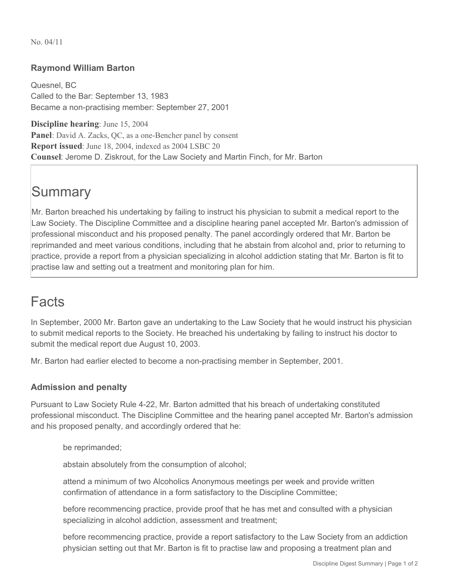No. 04/11

## **Raymond William Barton**

Quesnel, BC Called to the Bar: September 13, 1983 Became a non-practising member: September 27, 2001

**Discipline hearing**: June 15, 2004 **Panel**: David A. Zacks, QC, as a one-Bencher panel by consent **Report issued**: June 18, 2004, indexed as 2004 LSBC 20 **Counsel**: Jerome D. Ziskrout, for the Law Society and Martin Finch, for Mr. Barton

## **Summary**

Mr. Barton breached his undertaking by failing to instruct his physician to submit a medical report to the Law Society. The Discipline Committee and a discipline hearing panel accepted Mr. Barton's admission of professional misconduct and his proposed penalty. The panel accordingly ordered that Mr. Barton be reprimanded and meet various conditions, including that he abstain from alcohol and, prior to returning to practice, provide a report from a physician specializing in alcohol addiction stating that Mr. Barton is fit to practise law and setting out a treatment and monitoring plan for him.

## Facts

In September, 2000 Mr. Barton gave an undertaking to the Law Society that he would instruct his physician to submit medical reports to the Society. He breached his undertaking by failing to instruct his doctor to submit the medical report due August 10, 2003.

Mr. Barton had earlier elected to become a non-practising member in September, 2001.

## **Admission and penalty**

Pursuant to Law Society Rule 4-22, Mr. Barton admitted that his breach of undertaking constituted professional misconduct. The Discipline Committee and the hearing panel accepted Mr. Barton's admission and his proposed penalty, and accordingly ordered that he:

be reprimanded;

abstain absolutely from the consumption of alcohol;

attend a minimum of two Alcoholics Anonymous meetings per week and provide written confirmation of attendance in a form satisfactory to the Discipline Committee;

before recommencing practice, provide proof that he has met and consulted with a physician specializing in alcohol addiction, assessment and treatment;

before recommencing practice, provide a report satisfactory to the Law Society from an addiction physician setting out that Mr. Barton is fit to practise law and proposing a treatment plan and